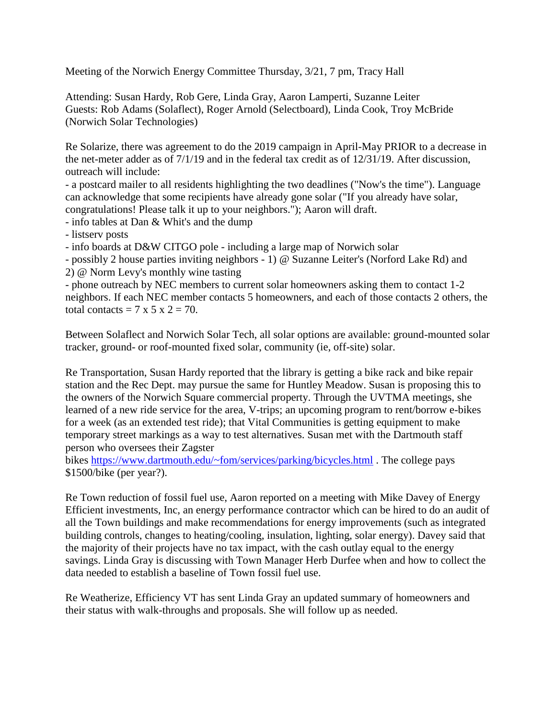Meeting of the Norwich Energy Committee Thursday, 3/21, 7 pm, Tracy Hall

Attending: Susan Hardy, Rob Gere, Linda Gray, Aaron Lamperti, Suzanne Leiter Guests: Rob Adams (Solaflect), Roger Arnold (Selectboard), Linda Cook, Troy McBride (Norwich Solar Technologies)

Re Solarize, there was agreement to do the 2019 campaign in April-May PRIOR to a decrease in the net-meter adder as of 7/1/19 and in the federal tax credit as of 12/31/19. After discussion, outreach will include:

- a postcard mailer to all residents highlighting the two deadlines ("Now's the time"). Language can acknowledge that some recipients have already gone solar ("If you already have solar, congratulations! Please talk it up to your neighbors."); Aaron will draft.

- info tables at Dan & Whit's and the dump

- listserv posts

- info boards at D&W CITGO pole - including a large map of Norwich solar

- possibly 2 house parties inviting neighbors - 1) @ Suzanne Leiter's (Norford Lake Rd) and 2) @ Norm Levy's monthly wine tasting

- phone outreach by NEC members to current solar homeowners asking them to contact 1-2 neighbors. If each NEC member contacts 5 homeowners, and each of those contacts 2 others, the total contacts =  $7 \times 5 \times 2 = 70$ .

Between Solaflect and Norwich Solar Tech, all solar options are available: ground-mounted solar tracker, ground- or roof-mounted fixed solar, community (ie, off-site) solar.

Re Transportation, Susan Hardy reported that the library is getting a bike rack and bike repair station and the Rec Dept. may pursue the same for Huntley Meadow. Susan is proposing this to the owners of the Norwich Square commercial property. Through the UVTMA meetings, she learned of a new ride service for the area, V-trips; an upcoming program to rent/borrow e-bikes for a week (as an extended test ride); that Vital Communities is getting equipment to make temporary street markings as a way to test alternatives. Susan met with the Dartmouth staff person who oversees their Zagster

bikes <https://www.dartmouth.edu/~fom/services/parking/bicycles.html> . The college pays \$1500/bike (per year?).

Re Town reduction of fossil fuel use, Aaron reported on a meeting with Mike Davey of Energy Efficient investments, Inc, an energy performance contractor which can be hired to do an audit of all the Town buildings and make recommendations for energy improvements (such as integrated building controls, changes to heating/cooling, insulation, lighting, solar energy). Davey said that the majority of their projects have no tax impact, with the cash outlay equal to the energy savings. Linda Gray is discussing with Town Manager Herb Durfee when and how to collect the data needed to establish a baseline of Town fossil fuel use.

Re Weatherize, Efficiency VT has sent Linda Gray an updated summary of homeowners and their status with walk-throughs and proposals. She will follow up as needed.